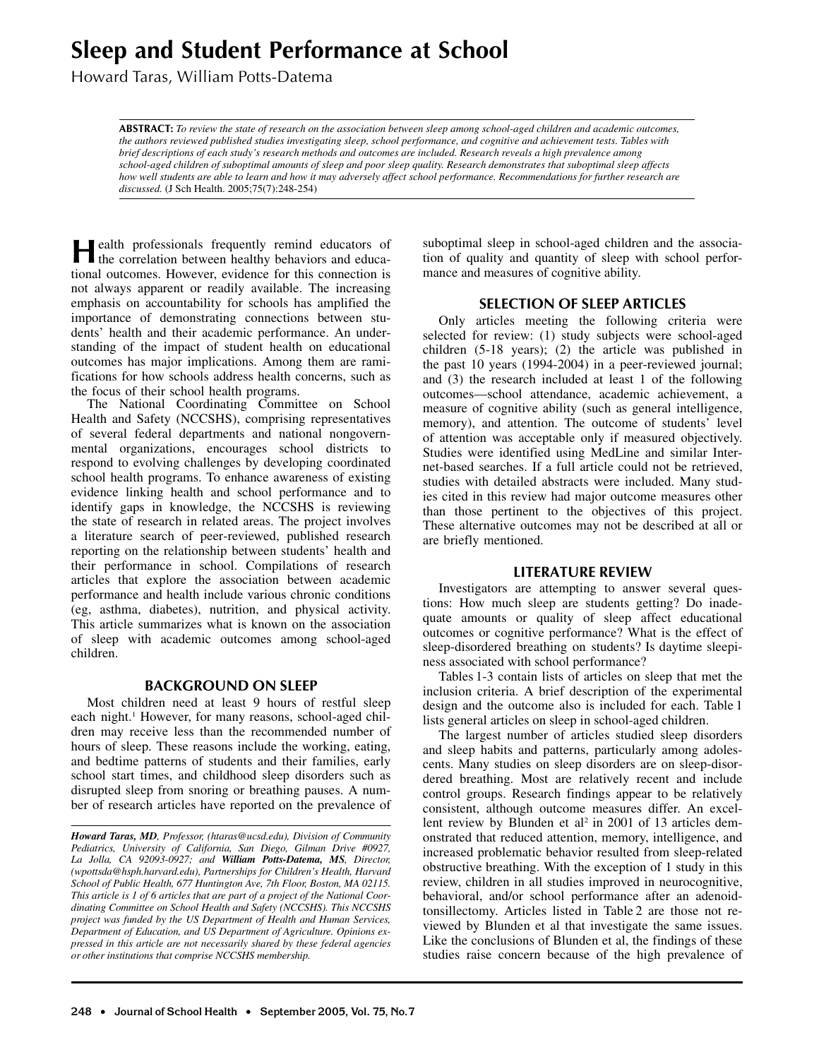# Sleep and Student Performance at School

Howard Taras, William Potts-Datema

ABSTRACT: To review the state of research on the association between sleep among school-aged children and academic outcomes, the authors reviewed published studies investigating sleep, school performance, and cognitive and achievement tests. Tables with brief descriptions of each study's research methods and outcomes are included. Research reveals a high prevalence among school-aged children of suboptimal amounts of sleep and poor sleep quality. Research demonstrates that suboptimal sleep affects how well students are able to learn and how it may adversely affect school performance. Recommendations for further research are discussed. (J Sch Health. 2005;75(7):248-254)

**Health professionals frequently remind educators of** the correlation between healthy behaviors and educational outcomes. However, evidence for this connection is not always apparent or readily available. The increasing emphasis on accountability for schools has amplified the importance of demonstrating connections between students' health and their academic performance. An understanding of the impact of student health on educational outcomes has major implications. Among them are ramifications for how schools address health concerns, such as the focus of their school health programs.

The National Coordinating Committee on School Health and Safety (NCCSHS), comprising representatives of several federal departments and national nongovernmental organizations, encourages school districts to respond to evolving challenges by developing coordinated school health programs. To enhance awareness of existing evidence linking health and school performance and to identify gaps in knowledge, the NCCSHS is reviewing the state of research in related areas. The project involves a literature search of peer-reviewed, published research reporting on the relationship between students' health and their performance in school. Compilations of research articles that explore the association between academic performance and health include various chronic conditions (eg, asthma, diabetes), nutrition, and physical activity. This article summarizes what is known on the association of sleep with academic outcomes among school-aged children.

#### BACKGROUND ON SLEEP

Most children need at least 9 hours of restful sleep each night.<sup>1</sup> However, for many reasons, school-aged children may receive less than the recommended number of hours of sleep. These reasons include the working, eating, and bedtime patterns of students and their families, early school start times, and childhood sleep disorders such as disrupted sleep from snoring or breathing pauses. A number of research articles have reported on the prevalence of suboptimal sleep in school-aged children and the association of quality and quantity of sleep with school performance and measures of cognitive ability.

### SELECTION OF SLEEP ARTICLES

Only articles meeting the following criteria were selected for review: (1) study subjects were school-aged children (5-18 years); (2) the article was published in the past 10 years (1994-2004) in a peer-reviewed journal; and (3) the research included at least 1 of the following outcomes—school attendance, academic achievement, a measure of cognitive ability (such as general intelligence, memory), and attention. The outcome of students' level of attention was acceptable only if measured objectively. Studies were identified using MedLine and similar Internet-based searches. If a full article could not be retrieved, studies with detailed abstracts were included. Many studies cited in this review had major outcome measures other than those pertinent to the objectives of this project. These alternative outcomes may not be described at all or are briefly mentioned.

#### LITERATURE REVIEW

Investigators are attempting to answer several questions: How much sleep are students getting? Do inadequate amounts or quality of sleep affect educational outcomes or cognitive performance? What is the effect of sleep-disordered breathing on students? Is daytime sleepiness associated with school performance?

Tables 1-3 contain lists of articles on sleep that met the inclusion criteria. A brief description of the experimental design and the outcome also is included for each. Table 1 lists general articles on sleep in school-aged children.

The largest number of articles studied sleep disorders and sleep habits and patterns, particularly among adolescents. Many studies on sleep disorders are on sleep-disordered breathing. Most are relatively recent and include control groups. Research findings appear to be relatively consistent, although outcome measures differ. An excellent review by Blunden et al<sup>2</sup> in 2001 of 13 articles demonstrated that reduced attention, memory, intelligence, and increased problematic behavior resulted from sleep-related obstructive breathing. With the exception of 1 study in this review, children in all studies improved in neurocognitive, behavioral, and/or school performance after an adenoidtonsillectomy. Articles listed in Table 2 are those not reviewed by Blunden et al that investigate the same issues. Like the conclusions of Blunden et al, the findings of these studies raise concern because of the high prevalence of

Howard Taras, MD, Professor, (htaras@ucsd.edu), Division of Community Pediatrics, University of California, San Diego, Gilman Drive #0927, La Jolla, CA 92093-0927; and William Potts-Datema, MS, Director, (wpottsda@hsph.harvard.edu), Partnerships for Children's Health, Harvard School of Public Health, 677 Huntington Ave, 7th Floor, Boston, MA 02115. This article is 1 of 6 articles that are part of a project of the National Coordinating Committee on School Health and Safety (NCCSHS). This NCCSHS project was funded by the US Department of Health and Human Services, Department of Education, and US Department of Agriculture. Opinions expressed in this article are not necessarily shared by these federal agencies or other institutions that comprise NCCSHS membership.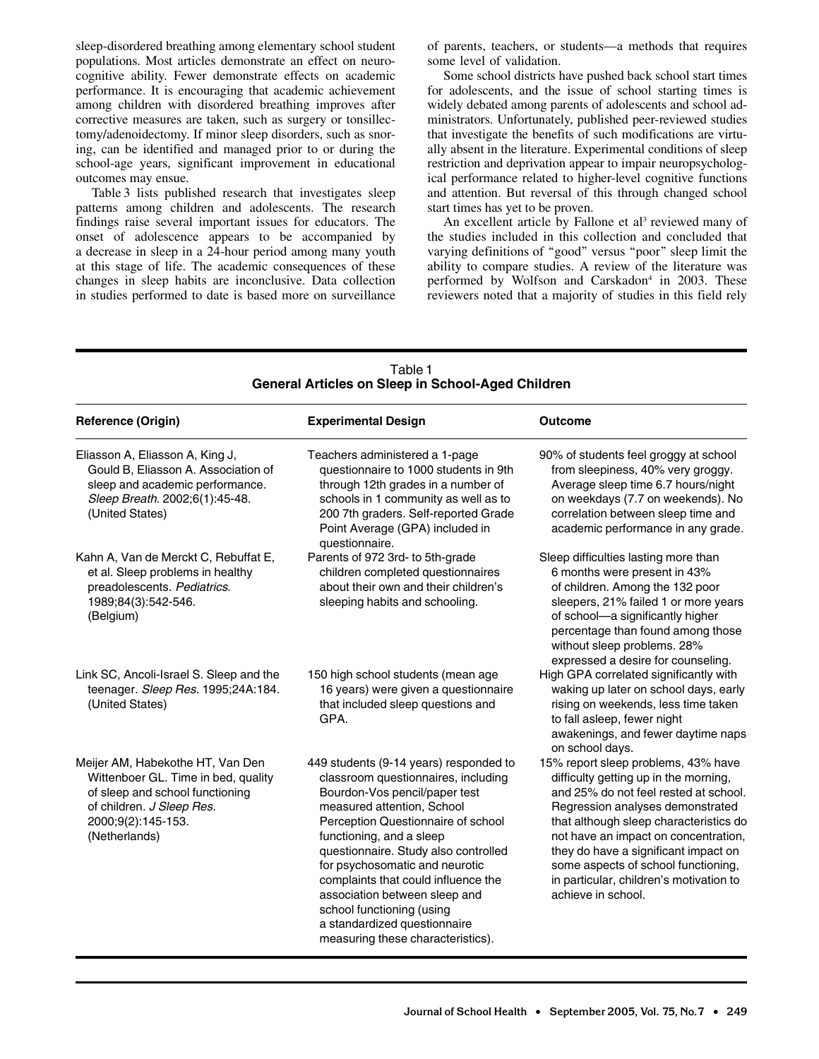sleep-disordered breathing among elementary school student populations. Most articles demonstrate an effect on neurocognitive ability. Fewer demonstrate effects on academic performance. It is encouraging that academic achievement among children with disordered breathing improves after corrective measures are taken, such as surgery or tonsillectomy/adenoidectomy. If minor sleep disorders, such as snoring, can be identified and managed prior to or during the school-age years, significant improvement in educational outcomes may ensue.

Table 3 lists published research that investigates sleep patterns among children and adolescents. The research findings raise several important issues for educators. The onset of adolescence appears to be accompanied by a decrease in sleep in a 24-hour period among many youth at this stage of life. The academic consequences of these changes in sleep habits are inconclusive. Data collection in studies performed to date is based more on surveillance of parents, teachers, or students—a methods that requires some level of validation.

Some school districts have pushed back school start times for adolescents, and the issue of school starting times is widely debated among parents of adolescents and school administrators. Unfortunately, published peer-reviewed studies that investigate the benefits of such modifications are virtually absent in the literature. Experimental conditions of sleep restriction and deprivation appear to impair neuropsychological performance related to higher-level cognitive functions and attention. But reversal of this through changed school start times has yet to be proven.

An excellent article by Fallone et al<sup>3</sup> reviewed many of the studies included in this collection and concluded that varying definitions of "good" versus "poor" sleep limit the ability to compare studies. A review of the literature was performed by Wolfson and Carskadon<sup>4</sup> in 2003. These reviewers noted that a majority of studies in this field rely

| Reference (Origin)                                                                                                                                                             | <b>Experimental Design</b>                                                                                                                                                                                                                                                                                                                                                                                                                                         | <b>Outcome</b>                                                                                                                                                                                                                                                                                                                                                                              |
|--------------------------------------------------------------------------------------------------------------------------------------------------------------------------------|--------------------------------------------------------------------------------------------------------------------------------------------------------------------------------------------------------------------------------------------------------------------------------------------------------------------------------------------------------------------------------------------------------------------------------------------------------------------|---------------------------------------------------------------------------------------------------------------------------------------------------------------------------------------------------------------------------------------------------------------------------------------------------------------------------------------------------------------------------------------------|
| Eliasson A, Eliasson A, King J,<br>Gould B, Eliasson A. Association of<br>sleep and academic performance.<br>Sleep Breath. 2002;6(1):45-48.<br>(United States)                 | Teachers administered a 1-page<br>questionnaire to 1000 students in 9th<br>through 12th grades in a number of<br>schools in 1 community as well as to<br>200 7th graders. Self-reported Grade<br>Point Average (GPA) included in<br>questionnaire.                                                                                                                                                                                                                 | 90% of students feel groggy at school<br>from sleepiness, 40% very groggy.<br>Average sleep time 6.7 hours/night<br>on weekdays (7.7 on weekends). No<br>correlation between sleep time and<br>academic performance in any grade.                                                                                                                                                           |
| Kahn A, Van de Merckt C, Rebuffat E,<br>et al. Sleep problems in healthy<br>preadolescents. Pediatrics.<br>1989;84(3):542-546.<br>(Belgium)                                    | Parents of 972 3rd- to 5th-grade<br>children completed questionnaires<br>about their own and their children's<br>sleeping habits and schooling.                                                                                                                                                                                                                                                                                                                    | Sleep difficulties lasting more than<br>6 months were present in 43%<br>of children. Among the 132 poor<br>sleepers, 21% failed 1 or more years<br>of school-a significantly higher<br>percentage than found among those<br>without sleep problems. 28%<br>expressed a desire for counseling.                                                                                               |
| Link SC, Ancoli-Israel S. Sleep and the<br>teenager. Sleep Res. 1995;24A:184.<br>(United States)                                                                               | 150 high school students (mean age<br>16 years) were given a questionnaire<br>that included sleep questions and<br>GPA.                                                                                                                                                                                                                                                                                                                                            | High GPA correlated significantly with<br>waking up later on school days, early<br>rising on weekends, less time taken<br>to fall asleep, fewer night<br>awakenings, and fewer daytime naps<br>on school days.                                                                                                                                                                              |
| Meijer AM, Habekothe HT, Van Den<br>Wittenboer GL. Time in bed, quality<br>of sleep and school functioning<br>of children. J Sleep Res.<br>2000;9(2):145-153.<br>(Netherlands) | 449 students (9-14 years) responded to<br>classroom questionnaires, including<br>Bourdon-Vos pencil/paper test<br>measured attention, School<br>Perception Questionnaire of school<br>functioning, and a sleep<br>questionnaire. Study also controlled<br>for psychosomatic and neurotic<br>complaints that could influence the<br>association between sleep and<br>school functioning (using<br>a standardized questionnaire<br>measuring these characteristics). | 15% report sleep problems, 43% have<br>difficulty getting up in the morning,<br>and 25% do not feel rested at school.<br>Regression analyses demonstrated<br>that although sleep characteristics do<br>not have an impact on concentration,<br>they do have a significant impact on<br>some aspects of school functioning,<br>in particular, children's motivation to<br>achieve in school. |

## Table 1 General Articles on Sleep in School-Aged Children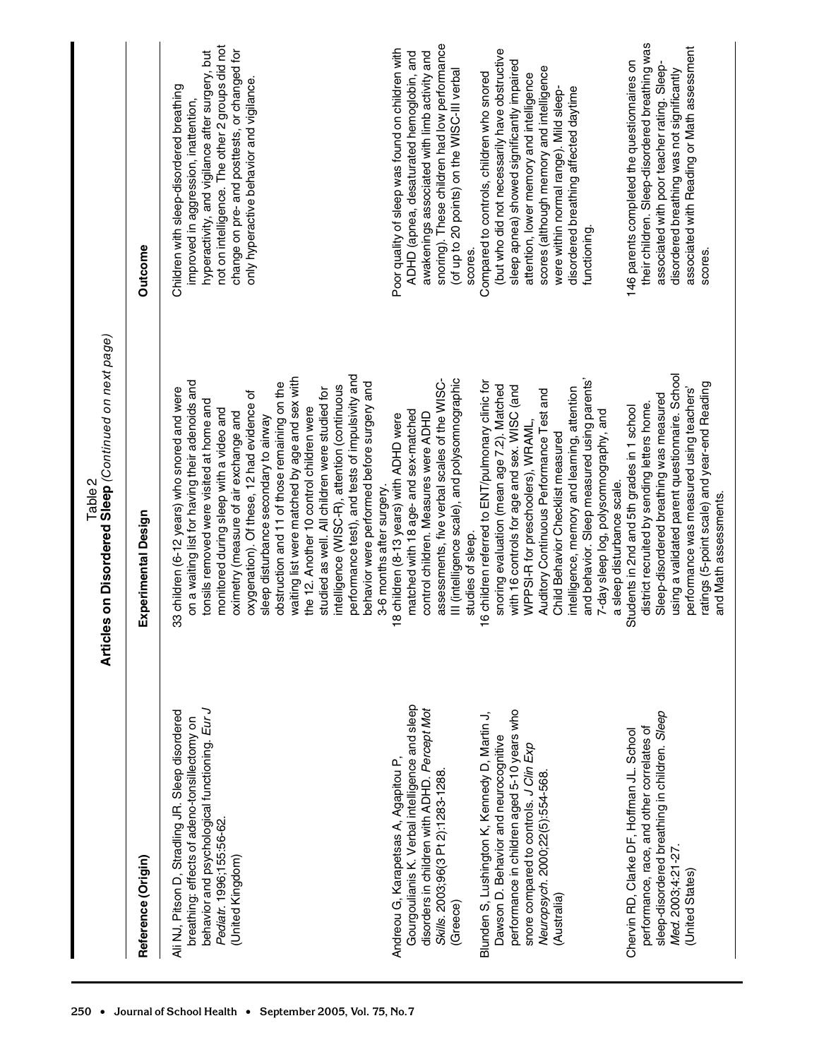|                                                                                                                                                                                                                                   | Articles on Disordered Sleep (Continued on next page)<br>Table 2                                                                                                                                                                                                                                                                                                                                                                                                                                                                                                                                                                                                                                    |                                                                                                                                                                                                                                                                                                                                    |
|-----------------------------------------------------------------------------------------------------------------------------------------------------------------------------------------------------------------------------------|-----------------------------------------------------------------------------------------------------------------------------------------------------------------------------------------------------------------------------------------------------------------------------------------------------------------------------------------------------------------------------------------------------------------------------------------------------------------------------------------------------------------------------------------------------------------------------------------------------------------------------------------------------------------------------------------------------|------------------------------------------------------------------------------------------------------------------------------------------------------------------------------------------------------------------------------------------------------------------------------------------------------------------------------------|
| Reference (Origin)                                                                                                                                                                                                                | Experimental Design                                                                                                                                                                                                                                                                                                                                                                                                                                                                                                                                                                                                                                                                                 | Outcome                                                                                                                                                                                                                                                                                                                            |
| behavior and psychological functioning. Eur J<br>Ali NJ, Pitson D, Stradling JR. Sleep disordered<br>breathing: effects of adeno-tonsillectomy on<br>Pediatr. 1996; 155:56-62.<br>(United Kingdom)                                | performance test), and tests of impulsivity and<br>waiting list were matched by age and sex with<br>on a waiting list for having their adenoids and<br>obstruction and 11 of those remaining on the<br>behavior were performed before surgery and<br>intelligence (WISC-R), attention (continuous<br>33 children (6-12 years) who snored and were<br>studied as well. All children were studied for<br>oxygenation). Of these, 12 had evidence of<br>tonsils removed were visited at home and<br>the 12. Another 10 control children were<br>monitored during sleep with a video and<br>oximetry (measure of air exchange and<br>sleep disturbance secondary to airway<br>3-6 months after surgery. | not on intelligence. The other 2 groups did not<br>change on pre- and posttests, or changed for<br>hyperactivity, and vigilance after surgery, but<br>only hyperactive behavior and vigilance.<br>Children with sleep-disordered breathing<br>improved in aggression, inattention,                                                 |
| Gourgoulianis K. Verbal intelligence and sleep<br>disorders in children with ADHD. Percept Mot<br>Andreou G, Karapetsas A, Agapitou P,<br>Skills. 2003;96(3 Pt 2):1283-1288.<br>(Greece)                                          | III (intelligence scale), and polysomnographic<br>assessments, five verbal scales of the WISC-<br>matched with 18 age- and sex-matched<br>control children. Measures were ADHD<br>8 children (8-13 years) with ADHD were<br>studies of sleep.                                                                                                                                                                                                                                                                                                                                                                                                                                                       | snoring). These children had low performance<br>Poor quality of sleep was found on children with<br>ADHD (apnea, desaturated hemoglobin, and<br>awakenings associated with limb activity and<br>(of up to 20 points) on the WISC-III verbal<br>scores.                                                                             |
| performance in children aged 5-10 years who<br>Blunden S, Lushington K, Kennedy D, Martin J,<br>Dawson D. Behavior and neurocognitive<br>snore compared to controls. J Clin Exp<br>Neuropsych. 2000;22(5):554-568.<br>(Australia) | and behavior. Sleep measured using parents'<br>16 children referred to ENT/pulmonary clinic for<br>snoring evaluation (mean age 7.2). Matched<br>with 16 controls for age and sex. WISC (and<br>intelligence, memory and learning, attention<br>Auditory Continuous Performance Test and<br>7-day sleep log, polysomnography, and<br>WPPSI-R for preschoolers), WRAML<br>Child Behavior Checklist measured<br>a sleep disturbance scale.                                                                                                                                                                                                                                                            | (but who did not necessarily have obstructive<br>sleep apnea) showed significantly impaired<br>scores (although memory and intelligence<br>Compared to controls, children who snored<br>attention, lower memory and intelligence<br>disordered breathing affected daytime<br>were within normal range). Mild sleep-<br>functioning |
| sleep-disordered breathing in children. Sleep<br>performance, race, and other correlates of<br>Chervin RD, Clarke DF, Hoffman JL. School<br>Med. 2003;4:21-27.<br>(United States)                                                 | using a validated parent questionnaire. School<br>ratings (5-point scale) and year-end Reading<br>performance was measured using teachers'<br>Sleep-disordered breathing was measured<br>district recruited by sending letters home.<br>Students in 2nd and 5th grades in 1 school<br>and Math assessments.                                                                                                                                                                                                                                                                                                                                                                                         | their children. Sleep-disordered breathing was<br>associated with Reading or Math assessment<br>146 parents completed the questionnaires on<br>associated with poor teacher rating. Sleep-<br>disordered breathing was not significantly<br>scores.                                                                                |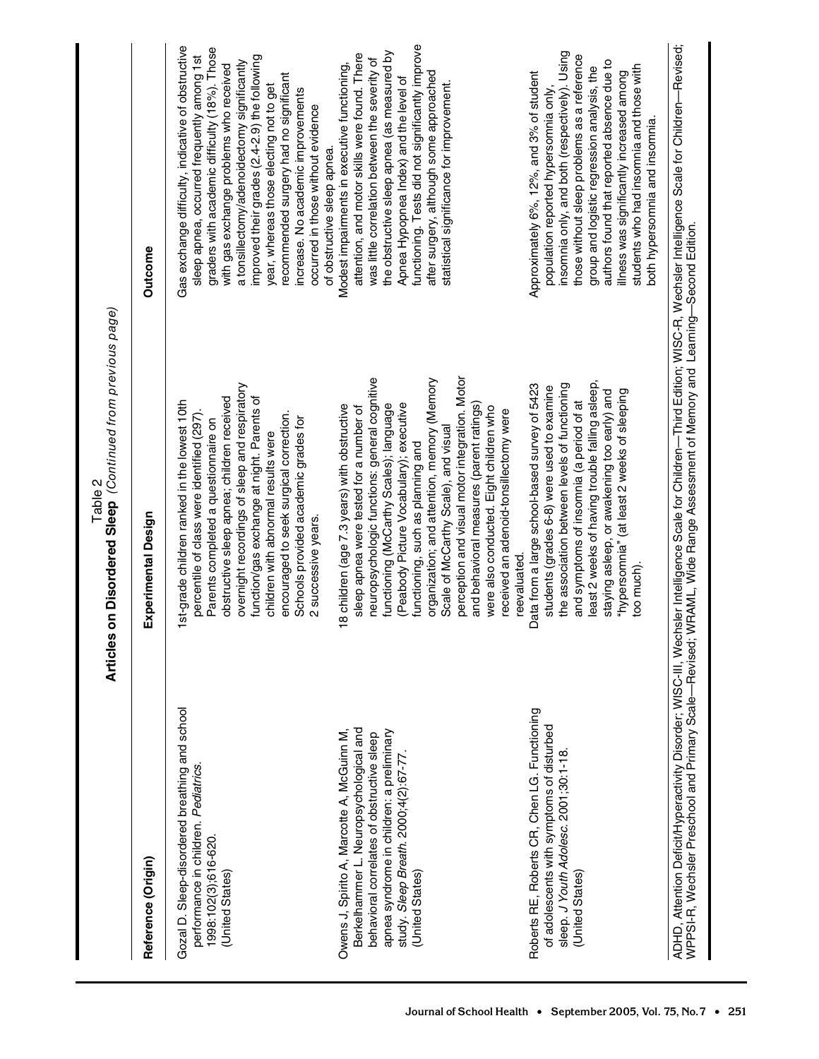| Reference (Origin)                                                                                                                                                                                                                         | Experimental Design                                                                                                                                                                                                                                                                                                                                                                                                                                                                                                                                           | <b>Outcome</b>                                                                                                                                                                                                                                                                                                                                                                                                                                                                               |
|--------------------------------------------------------------------------------------------------------------------------------------------------------------------------------------------------------------------------------------------|---------------------------------------------------------------------------------------------------------------------------------------------------------------------------------------------------------------------------------------------------------------------------------------------------------------------------------------------------------------------------------------------------------------------------------------------------------------------------------------------------------------------------------------------------------------|----------------------------------------------------------------------------------------------------------------------------------------------------------------------------------------------------------------------------------------------------------------------------------------------------------------------------------------------------------------------------------------------------------------------------------------------------------------------------------------------|
| Gozal D. Sleep-disordered breathing and school<br>performance in children. Pediatrics.<br>1998:102(3);616-620.<br>(United States)                                                                                                          | overnight recordings of sleep and respiratory<br>obstructive sleep apnea; children received<br>function/gas exchange at night. Parents of<br>1st-grade children ranked in the lowest 10th<br>encouraged to seek surgical correction.<br>percentile of class were identified (297)<br>Schools provided academic grades for<br>Parents completed a questionnaire on<br>children with abnormal results were<br>2 successive years.                                                                                                                               | Gas exchange difficulty, indicative of obstructive<br>graders with academic difficulty (18%). Those<br>sleep apnea, occurred frequently among 1st<br>improved their grades (2.4-2.9) the following<br>a tonsillectomy/adenoidectomy significantly<br>with gas exchange problems who received<br>recommended surgery had no significant<br>year, whereas those electing not to get<br>increase. No academic improvements<br>occurred in those without evidence<br>of obstructive sleep apnea. |
| Berkelhammer L. Neuropsychological and<br>Owens J, Spirito A, Marcotte A, McGuinn M,<br>apnea syndrome in children: a preliminary<br>behavioral correlates of obstructive sleep<br>study. Sleep Breath. 2000;4(2):67-77<br>(United States) | perception and visual motor integration. Motor<br>neuropsychologic functions: general cognitive<br>organization; and attention, memory (Memory<br>(Peabody Picture Vocabulary); executive<br>and behavioral measures (parent ratings)<br>18 children (age 7.3 years) with obstructive<br>functioning (McCarthy Scales); language<br>sleep apnea were tested for a number of<br>were also conducted. Eight children who<br>received an adenoid-tonsillectomy were<br>Scale of McCarthy Scale), and visual<br>lunctioning, such as planning and<br>reevaluated. | functioning. Tests did not significantly improve<br>the obstructive sleep apnea (as measured by<br>attention, and motor skills were found. There<br>was little correlation between the severity of<br>Modest impairments in executive functioning,<br>after surgery, although some approached<br>Apnea Hypopnea Index) and the level of<br>statistical significance for improvement.                                                                                                         |
| Roberts RE, Roberts CR, Chen LG. Functioning<br>of adolescents with symptoms of disturbed<br>sleep. J Youth Adolesc. 2001;30:1-18<br>(United States)                                                                                       | least 2 weeks of having trouble falling asleep,<br>the association between levels of functioning<br>Data from a large school-based survey of 5423<br>students (grades 6-8) were used to examine<br>"hypersomnia" (at least 2 weeks of sleeping<br>staying asleep, or awakening too early) and<br>and symptoms of insomnia (a period of at<br>too much).                                                                                                                                                                                                       | insomnia only, and both (respectively). Using<br>those without sleep problems as a reference<br>authors found that reported absence due to<br>students who had insomnia and those with<br>group and logistic regression analysis, the<br>Approximately 6%, 12%, and 3% of student<br>illness was significantly increased among<br>population reported hypersomnia only,<br>both hypersomnia and insomnia.                                                                                    |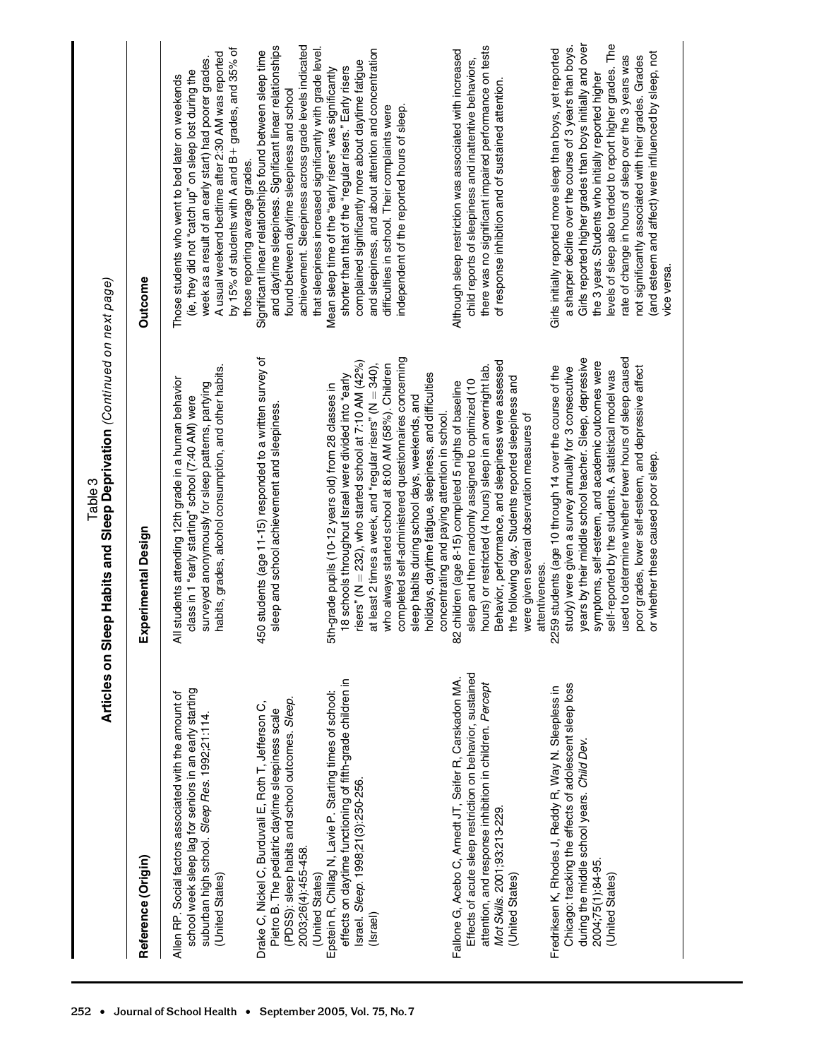|                                                                                                                                                                                                                                  | Articles on Sleep Habits and Sleep Deprivation (Continued on next page)<br>Table 3                                                                                                                                                                                                                                                                                                                                                                                                                                     |                                                                                                                                                                                                                                                                                                                                                                                                                                                                                                      |
|----------------------------------------------------------------------------------------------------------------------------------------------------------------------------------------------------------------------------------|------------------------------------------------------------------------------------------------------------------------------------------------------------------------------------------------------------------------------------------------------------------------------------------------------------------------------------------------------------------------------------------------------------------------------------------------------------------------------------------------------------------------|------------------------------------------------------------------------------------------------------------------------------------------------------------------------------------------------------------------------------------------------------------------------------------------------------------------------------------------------------------------------------------------------------------------------------------------------------------------------------------------------------|
| Reference (Origin)                                                                                                                                                                                                               | Experimental Design                                                                                                                                                                                                                                                                                                                                                                                                                                                                                                    | <b>Outcome</b>                                                                                                                                                                                                                                                                                                                                                                                                                                                                                       |
| school week sleep lag for seniors in an early starting<br>Allen RP. Social factors associated with the amount of<br>suburban high school. Sleep Res. 1992;21:114.<br>(United States)                                             | habits, grades, alcohol consumption, and other habits.<br>All students attending 12th grade in a human behavior<br>surveyed anonymously for sleep patterns, partying<br>class in 1 "early starting" school (7:40 AM) were                                                                                                                                                                                                                                                                                              | by 15% of students with A and B+ grades, and 35% of<br>A usual weekend bedtime after 2:30 AM was reported<br>week as a result of an early start) had poorer grades.<br>(ie, they did not "catch up" on sleep lost during the<br>Those students who went to bed later on weekends<br>those reporting average grades.                                                                                                                                                                                  |
| (PDSS): sleep habits and school outcomes. Sleep.<br>Drake C, Nickel C, Burduvali E, Roth T, Jefferson C,<br>Pietro B. The pediatric daytime sleepiness scale<br>2003;26(4):455-458.<br>(United States)                           | 450 students (age 11-15) responded to a written survey of<br>leep and school achievement and sleepiness.                                                                                                                                                                                                                                                                                                                                                                                                               | achievement. Sleepiness across grade levels indicated<br>and daytime sleepiness. Significant linear relationships<br>that sleepiness increased significantly with grade level.<br>Significant linear relationships found between sleep time<br>found between daytime sleepiness and school                                                                                                                                                                                                           |
| effects on daytime functioning of fitth-grade children in<br>Epstein R, Chillag N, Lavie P. Starting times of school:<br>Israel. Sleep. 1998;21(3):250-256.<br>(Israel)                                                          | completed self-administered questionnaires concerning<br>risers" (N = 232), who started school at 7:10 AM (42%)<br>at least 2 times a week, and "regular risers" ( $N = 340$ ),<br>who always started school at 8:00 AM (58%). Children<br>nolidays, daytime fatigue, sleepiness, and difficulties<br>8 schools throughout Israel were divided into "early<br>5th-grade pupils (10-12 years old) from 28 classes in<br>sleep habits during school days, weekends, and<br>concentrating and paying attention in school. | and sleepiness, and about attention and concentration<br>complained significantly more about daytime fatigue<br>shorter than that of the "regular risers." Early risers<br>Mean sleep time of the "early risers" was significantly<br>difficulties in school. Their complaints were<br>independent of the reported hours of sleep.                                                                                                                                                                   |
| Effects of acute sleep restriction on behavior, sustained<br>Fallone G, Acebo C, Arnedt JT, Seifer R, Carskadon MA.<br>attention, and response inhibition in children. Percept<br>Mot Skills. 2001;93:213-229.<br>United States) | Behavior, performance, and sleepiness were assessed<br>hours) or restricted (4 hours) sleep in an overnight lab.<br>he following day. Students reported sleepiness and<br>sleep and then randomly assigned to optimized (10<br>children (age 8-15) completed 5 nights of baseline<br>were given several observation measures of<br>attentiveness.<br>8                                                                                                                                                                 | there was no significant impaired performance on tests<br>Although sleep restriction was associated with increased<br>child reports of sleepiness and inattentive behaviors,<br>of response inhibition and of sustained attention.                                                                                                                                                                                                                                                                   |
| Chicago: tracking the effects of adolescent sleep loss<br>Fredriksen K, Rhodes J, Reddy R, Way N. Sleepless in<br>during the middle school years. Child Dev.<br>2004;75(1):84-95.<br>(United States)                             | used to determine whether fewer hours of sleep caused<br>years by their middle school teacher. Sleep, depressive<br>symptoms, self-esteem, and academic outcomes were<br>2259 students (age 10 through 14 over the course of the<br>poor grades, lower self-esteem, and depressive affect<br>study) were given a survey annually for 3 consecutive<br>self-reported by the students. A statistical model was<br>or whether these caused poor sleep.                                                                    | The<br>Girls reported higher grades than boys initially and over<br>a sharper decline over the course of 3 years than boys.<br>Girls initially reported more sleep than boys, yet reported<br>(and esteem and affect) were influenced by sleep, not<br>rate of change in hours of sleep over the 3 years was<br>not significantly associated with their grades. Grades<br>levels of sleep also tended to report higher grades.<br>the 3 years. Students who initially reported higher<br>vice versa. |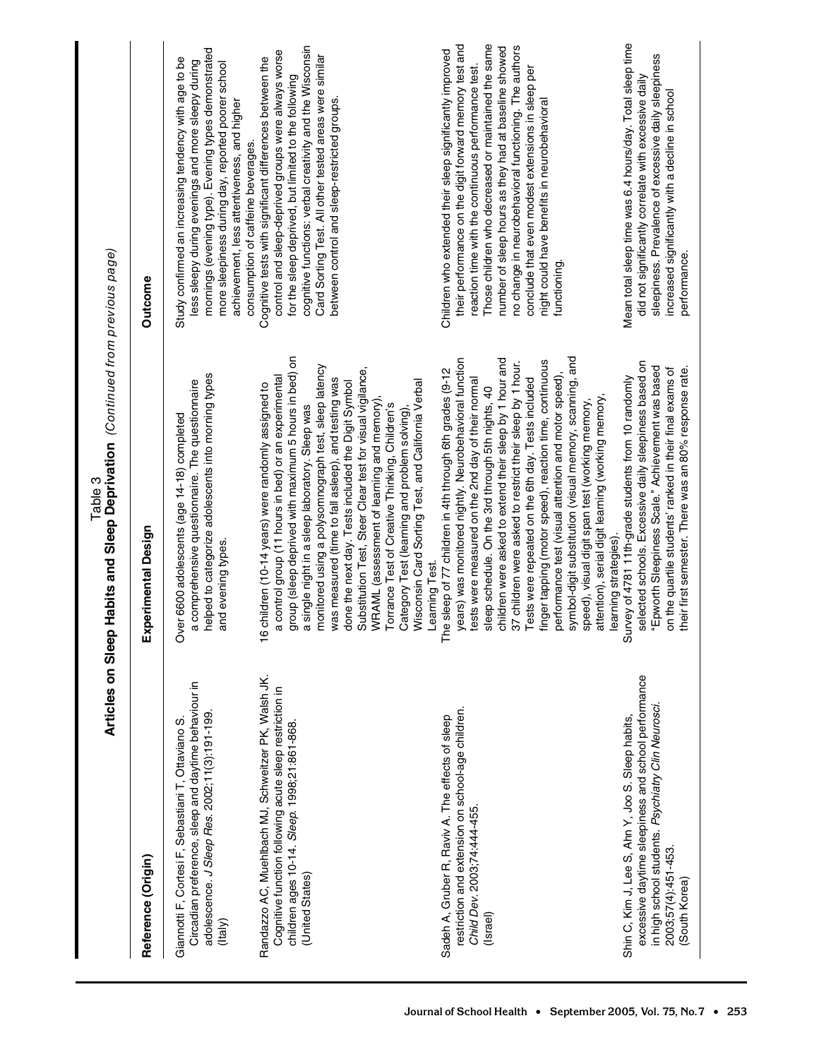| Reference (Origin)                                                                                                                                                                                     | Experimental Design                                                                                                                                                                                                                                                                                                                                                                                                                                                                                                                                                                                                                                                                                                                                                                                                | <b>Outcome</b>                                                                                                                                                                                                                                                                                                                                                                                                                                                         |
|--------------------------------------------------------------------------------------------------------------------------------------------------------------------------------------------------------|--------------------------------------------------------------------------------------------------------------------------------------------------------------------------------------------------------------------------------------------------------------------------------------------------------------------------------------------------------------------------------------------------------------------------------------------------------------------------------------------------------------------------------------------------------------------------------------------------------------------------------------------------------------------------------------------------------------------------------------------------------------------------------------------------------------------|------------------------------------------------------------------------------------------------------------------------------------------------------------------------------------------------------------------------------------------------------------------------------------------------------------------------------------------------------------------------------------------------------------------------------------------------------------------------|
| Circadian preference, sleep and daytime behaviour in<br>adolescence. J Sleep Res. 2002;11(3):191-199.<br>Giannotti F, Cortesi F, Sebastiani T, Ottaviano S.<br>$($ Italy $)$                           | helped to categorize adolescents into morning types<br>a comprehensive questionnaire. The questionnaire<br>Over 6600 adolescents (age 14-18) completed<br>and evening types.                                                                                                                                                                                                                                                                                                                                                                                                                                                                                                                                                                                                                                       | mornings (evening type). Evening types demonstrated<br>Study confirmed an increasing tendency with age to be<br>less sleepy during evenings and more sleepy during<br>more sleepiness during day, reported poorer school<br>achievement, less attentiveness, and higher                                                                                                                                                                                                |
| Randazzo AC, Muehlbach MJ, Schweitzer PK, Walsh JK.<br>Cognitive function following acute sleep restriction in<br>children ages 10-14. Sleep. 1998;21:861-868.<br>(United States)                      | group (sleep deprived with maximum 5 hours in bed) on<br>monitored using a polysomnograph test, sleep latency<br>done the next day. Tests included the Digit Symbol<br>Substitution Test, Steer Clear test for visual vigilance,<br>a control group (11 hours in bed) or an experimental<br>was measured (time to fall asleep), and testing was<br>16 children (10-14 years) were randomly assigned to<br>a single night in a sleep laboratory. Sleep was                                                                                                                                                                                                                                                                                                                                                          | cognitive functions: verbal creativity and the Wisconsin<br>control and sleep-deprived groups were always worse<br>Card Sorting Test. All other tested areas were similar<br>Cognitive tests with significant differences between the<br>for the sleep deprived, but limited to the following<br>between control and sleep-restricted groups.<br>consumption of caffeine beverages.                                                                                    |
| restriction and extension on school-age children.<br>Sadeh A, Gruber R, Raviv A. The effects of sleep<br>Child Dev. 2003;74:444-455.<br>(Israel)                                                       | symbol-digit substitution (visual memory, scanning, and<br>years) was monitored nightly. Neurobehavioral function<br>children were asked to extend their sleep by 1 hour and<br>finger tapping (motor speed), reaction time, continuous<br>37 children were asked to restrict their sleep by 1 hour.<br>Tests were repeated on the 6th day. Tests included<br>sleep of 77 children in 4th through 6th grades (9-12<br>performance test (visual attention and motor speed),<br>tests were measured on the 2nd day of their normal<br>Wisconsin Card Sorting Test, and California Verbal<br>sleep schedule. On the 3rd through 5th nights, 40<br>WRAML (assessment of learning and memory),<br>Torrance Test of Creative Thinking, Children's<br>Category Test (learning and problem solving)<br>Learning Test.<br>Ĕ | Those children who decreased or maintained the same<br>their performance on the digit forward memory test and<br>number of sleep hours as they had at baseline showed<br>no change in neurobehavioral functioning. The authors<br>Children who extended their sleep significantly improved<br>reaction time with the continuous performance test.<br>conclude that even modest extensions in sleep per<br>night could have benefits in neurobehavioral<br>functioning. |
| excessive daytime sleepiness and school performance<br>in high school students. Psychiatry Clin Neurosci.<br>Shin C, Kim J, Lee S, Ahn Y, Joo S. Sleep habits,<br>2003;57(4):451-453.<br>(South Korea) | selected schools. Excessive daily sleepiness based on<br>"Epworth Sleepiness Scale." Achievement was based<br>their first semester. There was an 80% response rate.<br>on the quartile students' ranked in their final exams of<br>Survey of 4781 11th-grade students from 10 randomly<br>attention), serial digit learning (working memory,<br>speed), visual digit span test (working memory,<br>learning strategies).                                                                                                                                                                                                                                                                                                                                                                                           | Mean total sleep time was 6.4 hours/day. Total sleep time<br>sleepiness. Prevalence of excessive daily sleepiness<br>did not significantly correlate with excessive daily<br>increased significantly with a decline in school<br>performance.                                                                                                                                                                                                                          |